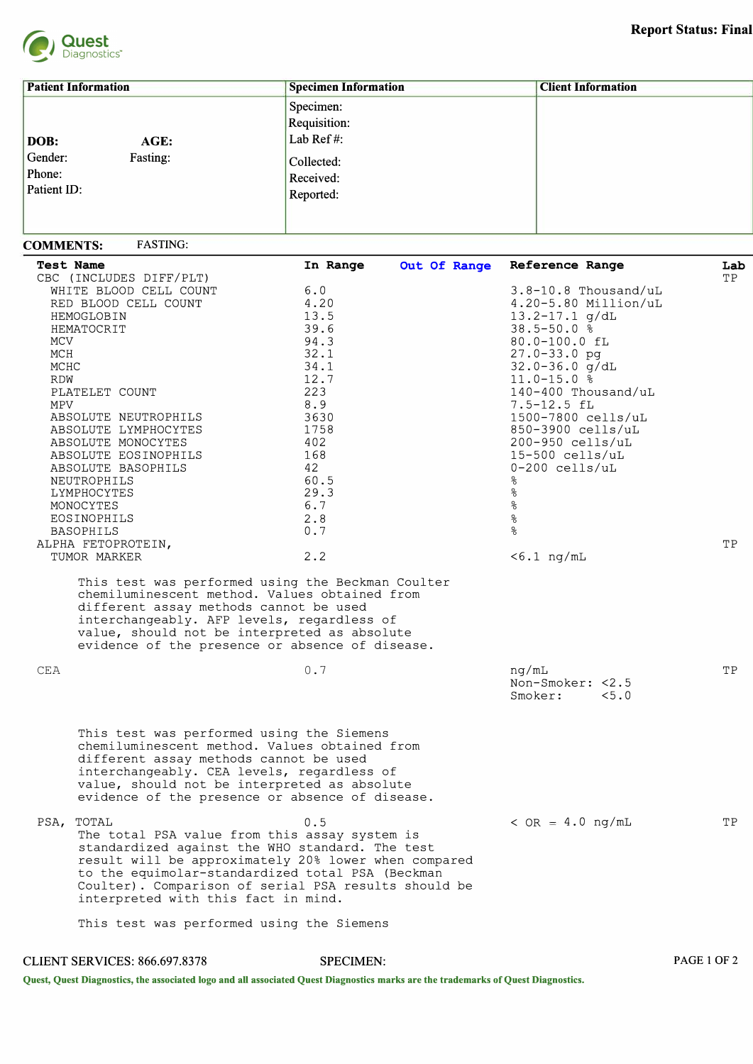

**PAGE 1 OF 2** 

| <b>Patient Information</b>                                   | <b>Specimen Information</b>                                                           | <b>Client Information</b> |
|--------------------------------------------------------------|---------------------------------------------------------------------------------------|---------------------------|
| DOB:<br>AGE:<br>Gender:<br>Fasting:<br>Phone:<br>Patient ID: | Specimen:<br><b>Requisition:</b><br>Lab Ref#:<br>Collected:<br>Received:<br>Reported: |                           |

## **COMMENTS: FASTING:**

|      | <b>Test Name</b><br>CBC (INCLUDES DIFF/PLT)                                                                                                                                                                                                                                                                          | In Range | Out Of Range | Reference Range                      | Lab<br>TP |
|------|----------------------------------------------------------------------------------------------------------------------------------------------------------------------------------------------------------------------------------------------------------------------------------------------------------------------|----------|--------------|--------------------------------------|-----------|
|      | WHITE BLOOD CELL COUNT                                                                                                                                                                                                                                                                                               | 6.0      |              | $3.8 - 10.8$ Thousand/uL             |           |
|      | RED BLOOD CELL COUNT                                                                                                                                                                                                                                                                                                 | 4.20     |              | $4.20 - 5.80$ Million/uL             |           |
|      | HEMOGLOBIN                                                                                                                                                                                                                                                                                                           | 13.5     |              | $13.2 - 17.1$ g/dL                   |           |
|      | HEMATOCRIT                                                                                                                                                                                                                                                                                                           | 39.6     |              | $38.5 - 50.0$ %                      |           |
| MCV  |                                                                                                                                                                                                                                                                                                                      | 94.3     |              | 80.0-100.0 fL                        |           |
| MCH  |                                                                                                                                                                                                                                                                                                                      | 32.1     |              | $27.0 - 33.0$ pg                     |           |
| MCHC |                                                                                                                                                                                                                                                                                                                      | 34.1     |              | $32.0 - 36.0$ g/dL                   |           |
| RDW  |                                                                                                                                                                                                                                                                                                                      | 12.7     |              | $11.0 - 15.0$ %                      |           |
|      | PLATELET COUNT                                                                                                                                                                                                                                                                                                       | 223      |              | 140-400 Thousand/uL                  |           |
| MPV  |                                                                                                                                                                                                                                                                                                                      | 8.9      |              | 7.5-12.5 fL                          |           |
|      | ABSOLUTE NEUTROPHILS                                                                                                                                                                                                                                                                                                 | 3630     |              | 1500-7800 cells/uL                   |           |
|      | ABSOLUTE LYMPHOCYTES                                                                                                                                                                                                                                                                                                 | 1758     |              | 850-3900 cells/uL                    |           |
|      | ABSOLUTE MONOCYTES                                                                                                                                                                                                                                                                                                   | 402      |              | $200 - 950$ cells/uL                 |           |
|      | ABSOLUTE EOSINOPHILS                                                                                                                                                                                                                                                                                                 | 168      |              | $15-500$ cells/uL                    |           |
|      | ABSOLUTE BASOPHILS                                                                                                                                                                                                                                                                                                   | 42       |              | $0-200$ cells/uL                     |           |
|      | NEUTROPHILS                                                                                                                                                                                                                                                                                                          | 60.5     |              | နွ                                   |           |
|      | LYMPHOCYTES                                                                                                                                                                                                                                                                                                          | 29.3     |              | $\frac{6}{5}$                        |           |
|      | MONOCYTES                                                                                                                                                                                                                                                                                                            | 6.7      |              | $\frac{6}{5}$                        |           |
|      | EOSINOPHILS                                                                                                                                                                                                                                                                                                          | 2.8      |              | $\frac{6}{\sqrt{2}}$                 |           |
|      | <b>BASOPHILS</b>                                                                                                                                                                                                                                                                                                     | 0.7      |              | $\frac{8}{10}$                       |           |
|      | ALPHA FETOPROTEIN,                                                                                                                                                                                                                                                                                                   |          |              |                                      | ТP        |
|      | TUMOR MARKER                                                                                                                                                                                                                                                                                                         | 2.2      |              | $< 6.1$ ng/mL                        |           |
|      | different assay methods cannot be used<br>interchangeably. AFP levels, regardless of<br>value, should not be interpreted as absolute<br>evidence of the presence or absence of disease.                                                                                                                              |          |              |                                      |           |
| CEA  |                                                                                                                                                                                                                                                                                                                      | 0.7      |              | nq/mL                                | TP.       |
|      |                                                                                                                                                                                                                                                                                                                      |          |              | Non-Smoker: <2.5<br>Smoker:<br>< 5.0 |           |
|      | This test was performed using the Siemens                                                                                                                                                                                                                                                                            |          |              |                                      |           |
|      | chemiluminescent method. Values obtained from<br>different assay methods cannot be used<br>interchangeably. CEA levels, regardless of<br>value, should not be interpreted as absolute<br>evidence of the presence or absence of disease.                                                                             |          |              |                                      |           |
| PSA, | TOTAL<br>The total PSA value from this assay system is<br>standardized against the WHO standard. The test<br>result will be approximately 20% lower when compared<br>to the equimolar-standardized total PSA (Beckman<br>Coulter). Comparison of serial PSA results should be<br>interpreted with this fact in mind. | 0.5      |              | $<$ OR = 4.0 ng/mL                   | ΤP        |
|      | This test was performed using the Siemens                                                                                                                                                                                                                                                                            |          |              |                                      |           |

**CLIENT SERVICES: 866.697.8378 SPECIMEN:** 

**Quest, Quest Diagnostics, the associated logo and all associated Quest Diagnostics marks are the trademarks of Quest Diagnostics.**